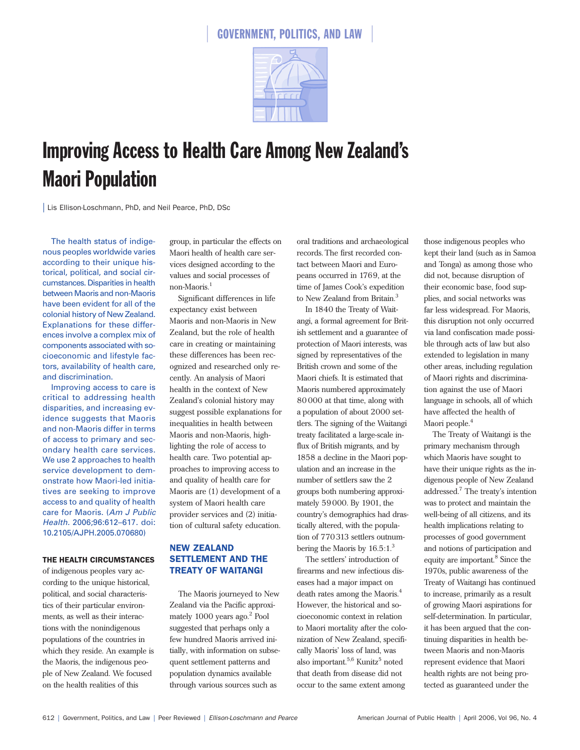

# Improving Access to Health Care Among New Zealand's Maori Population

| Lis Ellison-Loschmann, PhD, and Neil Pearce, PhD, DSc

The health status of indigenous peoples worldwide varies according to their unique historical, political, and social circumstances. Disparities in health between Maoris and non-Maoris have been evident for all of the colonial history of New Zealand. Explanations for these differences involve a complex mix of components associated with socioeconomic and lifestyle factors, availability of health care, and discrimination.

Improving access to care is critical to addressing health disparities, and increasing evidence suggests that Maoris and non-Maoris differ in terms of access to primary and secondary health care services. We use 2 approaches to health service development to demonstrate how Maori-led initiatives are seeking to improve access to and quality of health care for Maoris. (*Am J Public Health.* 2006;96:612–617. doi: 10.2105/AJPH.2005.070680)

#### THE HEALTH CIRCUMSTANCES

of indigenous peoples vary according to the unique historical, political, and social characteristics of their particular environments, as well as their interactions with the nonindigenous populations of the countries in which they reside. An example is the Maoris, the indigenous people of New Zealand. We focused on the health realities of this

group, in particular the effects on Maori health of health care services designed according to the values and social processes of non-Maoris.<sup>1</sup>

Significant differences in life expectancy exist between Maoris and non-Maoris in New Zealand, but the role of health care in creating or maintaining these differences has been recognized and researched only recently. An analysis of Maori health in the context of New Zealand's colonial history may suggest possible explanations for inequalities in health between Maoris and non-Maoris, highlighting the role of access to health care. Two potential approaches to improving access to and quality of health care for Maoris are (1) development of a system of Maori health care provider services and (2) initiation of cultural safety education.

# NEW ZEALAND SETTLEMENT AND THE TREATY OF WAITANGI

The Maoris journeyed to New Zealand via the Pacific approximately 1000 years ago.<sup>2</sup> Pool suggested that perhaps only a few hundred Maoris arrived initially, with information on subsequent settlement patterns and population dynamics available through various sources such as

oral traditions and archaeological records. The first recorded contact between Maori and Europeans occurred in 1769, at the time of James Cook's expedition to New Zealand from Britain.<sup>3</sup>

In 1840 the Treaty of Waitangi, a formal agreement for British settlement and a guarantee of protection of Maori interests, was signed by representatives of the British crown and some of the Maori chiefs. It is estimated that Maoris numbered approximately 80000 at that time, along with a population of about 2000 settlers. The signing of the Waitangi treaty facilitated a large-scale influx of British migrants, and by 1858 a decline in the Maori population and an increase in the number of settlers saw the 2 groups both numbering approximately 59000. By 1901, the country's demographics had drastically altered, with the population of 770313 settlers outnumbering the Maoris by  $16.5:1.^3$ 

The settlers' introduction of firearms and new infectious diseases had a major impact on death rates among the Maoris.4 However, the historical and socioeconomic context in relation to Maori mortality after the colonization of New Zealand, specifically Maoris' loss of land, was also important.<sup>5,6</sup> Kunitz<sup>5</sup> noted that death from disease did not occur to the same extent among

those indigenous peoples who kept their land (such as in Samoa and Tonga) as among those who did not, because disruption of their economic base, food supplies, and social networks was far less widespread. For Maoris, this disruption not only occurred via land confiscation made possible through acts of law but also extended to legislation in many other areas, including regulation of Maori rights and discrimination against the use of Maori language in schools, all of which have affected the health of Maori people.<sup>4</sup>

The Treaty of Waitangi is the primary mechanism through which Maoris have sought to have their unique rights as the indigenous people of New Zealand addressed.7 The treaty's intention was to protect and maintain the well-being of all citizens, and its health implications relating to processes of good government and notions of participation and equity are important.<sup>8</sup> Since the 1970s, public awareness of the Treaty of Waitangi has continued to increase, primarily as a result of growing Maori aspirations for self-determination. In particular, it has been argued that the continuing disparities in health between Maoris and non-Maoris represent evidence that Maori health rights are not being protected as guaranteed under the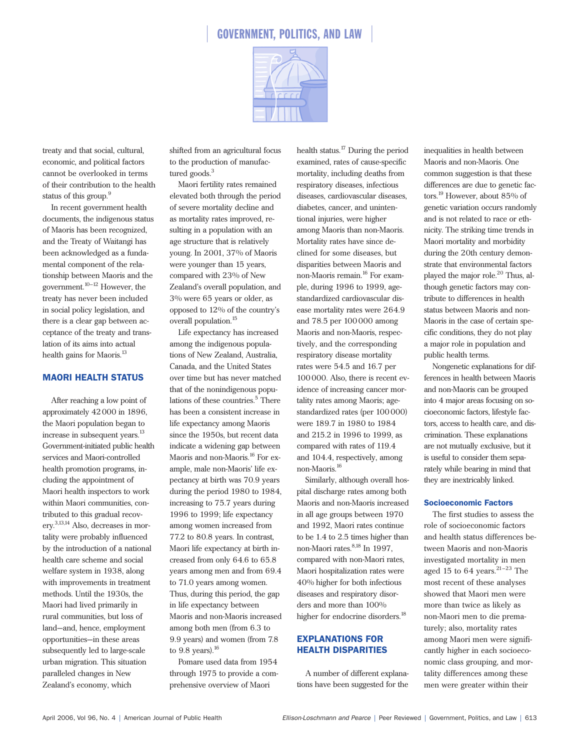

treaty and that social, cultural, economic, and political factors cannot be overlooked in terms of their contribution to the health status of this group.<sup>9</sup>

In recent government health documents, the indigenous status of Maoris has been recognized, and the Treaty of Waitangi has been acknowledged as a fundamental component of the relationship between Maoris and the government. $10-12}$  However, the treaty has never been included in social policy legislation, and there is a clear gap between acceptance of the treaty and translation of its aims into actual health gains for Maoris.<sup>13</sup>

# MAORI HEALTH STATUS

After reaching a low point of approximately 42000 in 1896, the Maori population began to increase in subsequent years.<sup>13</sup> Government-initiated public health services and Maori-controlled health promotion programs, including the appointment of Maori health inspectors to work within Maori communities, contributed to this gradual recovery.3,13,14 Also, decreases in mortality were probably influenced by the introduction of a national health care scheme and social welfare system in 1938, along with improvements in treatment methods. Until the 1930s, the Maori had lived primarily in rural communities, but loss of land—and, hence, employment opportunities—in these areas subsequently led to large-scale urban migration. This situation paralleled changes in New Zealand's economy, which

shifted from an agricultural focus to the production of manufactured goods.<sup>3</sup>

Maori fertility rates remained elevated both through the period of severe mortality decline and as mortality rates improved, resulting in a population with an age structure that is relatively young. In 2001, 37% of Maoris were younger than 15 years, compared with 23% of New Zealand's overall population, and 3% were 65 years or older, as opposed to 12% of the country's overall population.<sup>15</sup>

Life expectancy has increased among the indigenous populations of New Zealand, Australia, Canada, and the United States over time but has never matched that of the nonindigenous populations of these countries.<sup>5</sup> There has been a consistent increase in life expectancy among Maoris since the 1950s, but recent data indicate a widening gap between Maoris and non-Maoris.<sup>16</sup> For example, male non-Maoris' life expectancy at birth was 70.9 years during the period 1980 to 1984, increasing to 75.7 years during 1996 to 1999; life expectancy among women increased from 77.2 to 80.8 years. In contrast, Maori life expectancy at birth increased from only 64.6 to 65.8 years among men and from 69.4 to 71.0 years among women. Thus, during this period, the gap in life expectancy between Maoris and non-Maoris increased among both men (from 6.3 to 9.9 years) and women (from 7.8 to  $9.8$  years).<sup>16</sup>

Pomare used data from 1954 through 1975 to provide a comprehensive overview of Maori

health status.<sup>17</sup> During the period examined, rates of cause-specific mortality, including deaths from respiratory diseases, infectious diseases, cardiovascular diseases, diabetes, cancer, and unintentional injuries, were higher among Maoris than non-Maoris. Mortality rates have since declined for some diseases, but disparities between Maoris and non-Maoris remain.<sup>16</sup> For example, during 1996 to 1999, agestandardized cardiovascular disease mortality rates were 264.9 and 78.5 per 100000 among Maoris and non-Maoris, respectively, and the corresponding respiratory disease mortality rates were 54.5 and 16.7 per 100000. Also, there is recent evidence of increasing cancer mortality rates among Maoris; agestandardized rates (per 100000) were 189.7 in 1980 to 1984 and 215.2 in 1996 to 1999, as compared with rates of 119.4 and 104.4, respectively, among non-Maoris.<sup>16</sup>

Similarly, although overall hospital discharge rates among both Maoris and non-Maoris increased in all age groups between 1970 and 1992, Maori rates continue to be 1.4 to 2.5 times higher than non-Maori rates. 8,18 In 1997, compared with non-Maori rates, Maori hospitalization rates were 40% higher for both infectious diseases and respiratory disorders and more than 100% higher for endocrine disorders.<sup>18</sup>

# EXPLANATIONS FOR HEALTH DISPARITIES

A number of different explanations have been suggested for the inequalities in health between Maoris and non-Maoris. One common suggestion is that these differences are due to genetic factors.<sup>19</sup> However, about 85% of genetic variation occurs randomly and is not related to race or ethnicity. The striking time trends in Maori mortality and morbidity during the 20th century demonstrate that environmental factors played the major role.<sup>20</sup> Thus, although genetic factors may contribute to differences in health status between Maoris and non-Maoris in the case of certain specific conditions, they do not play a major role in population and public health terms.

Nongenetic explanations for differences in health between Maoris and non-Maoris can be grouped into 4 major areas focusing on socioeconomic factors, lifestyle factors, access to health care, and discrimination. These explanations are not mutually exclusive, but it is useful to consider them separately while bearing in mind that they are inextricably linked.

## Socioeconomic Factors

The first studies to assess the role of socioeconomic factors and health status differences between Maoris and non-Maoris investigated mortality in men aged 15 to 64 years. $21-23$  The most recent of these analyses showed that Maori men were more than twice as likely as non-Maori men to die prematurely; also, mortality rates among Maori men were significantly higher in each socioeconomic class grouping, and mortality differences among these men were greater within their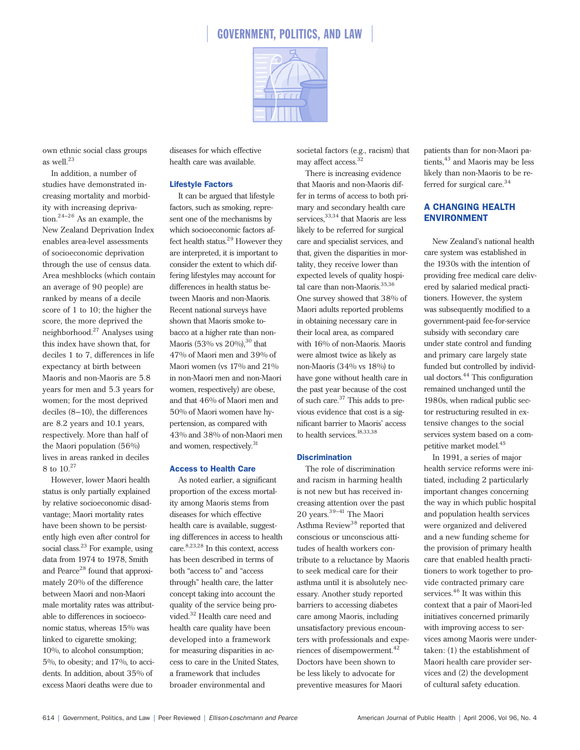

own ethnic social class groups as well.<sup>23</sup>

In addition, a number of studies have demonstrated increasing mortality and morbidity with increasing deprivation.24–26 As an example, the New Zealand Deprivation Index enables area-level assessments of socioeconomic deprivation through the use of census data. Area meshblocks (which contain an average of 90 people) are ranked by means of a decile score of 1 to 10; the higher the score, the more deprived the neighborhood.<sup>27</sup> Analyses using this index have shown that, for deciles 1 to 7, differences in life expectancy at birth between Maoris and non-Maoris are 5.8 years for men and 5.3 years for women; for the most deprived deciles (8–10), the differences are 8.2 years and 10.1 years, respectively. More than half of the Maori population (56%) lives in areas ranked in deciles 8 to 10.<sup>27</sup>

However, lower Maori health status is only partially explained by relative socioeconomic disadvantage; Maori mortality rates have been shown to be persistently high even after control for social class.<sup>23</sup> For example, using data from 1974 to 1978, Smith and Pearce<sup>28</sup> found that approximately 20% of the difference between Maori and non-Maori male mortality rates was attributable to differences in socioeconomic status, whereas 15% was linked to cigarette smoking; 10%, to alcohol consumption; 5%, to obesity; and 17%, to accidents. In addition, about 35% of excess Maori deaths were due to

diseases for which effective health care was available.

## Lifestyle Factors

It can be argued that lifestyle factors, such as smoking, represent one of the mechanisms by which socioeconomic factors affect health status.<sup>29</sup> However they are interpreted, it is important to consider the extent to which differing lifestyles may account for differences in health status between Maoris and non-Maoris. Recent national surveys have shown that Maoris smoke tobacco at a higher rate than non-Maoris (53% vs  $20\%$ ),<sup>30</sup> that 47% of Maori men and 39% of Maori women (vs 17% and 21% in non-Maori men and non-Maori women, respectively) are obese, and that 46% of Maori men and 50% of Maori women have hypertension, as compared with 43% and 38% of non-Maori men and women, respectively.<sup>31</sup>

### Access to Health Care

As noted earlier, a significant proportion of the excess mortality among Maoris stems from diseases for which effective health care is available, suggesting differences in access to health care.8,23,28 In this context, access has been described in terms of both "access to" and "access through" health care, the latter concept taking into account the quality of the service being provided.<sup>32</sup> Health care need and health care quality have been developed into a framework for measuring disparities in access to care in the United States, a framework that includes broader environmental and

societal factors (e.g., racism) that may affect access.<sup>32</sup>

There is increasing evidence that Maoris and non-Maoris differ in terms of access to both primary and secondary health care services,  $33,34$  that Maoris are less likely to be referred for surgical care and specialist services, and that, given the disparities in mortality, they receive lower than expected levels of quality hospital care than non-Maoris.<sup>35,36</sup> One survey showed that 38% of Maori adults reported problems in obtaining necessary care in their local area, as compared with 16% of non-Maoris. Maoris were almost twice as likely as non-Maoris (34% vs 18%) to have gone without health care in the past year because of the cost of such care.<sup>37</sup> This adds to previous evidence that cost is a significant barrier to Maoris' access to health services.<sup>18,33,38</sup>

## **Discrimination**

The role of discrimination and racism in harming health is not new but has received increasing attention over the past 20 years.39–41 The Maori Asthma Review<sup>38</sup> reported that conscious or unconscious attitudes of health workers contribute to a reluctance by Maoris to seek medical care for their asthma until it is absolutely necessary. Another study reported barriers to accessing diabetes care among Maoris, including unsatisfactory previous encounters with professionals and experiences of disempowerment.<sup>42</sup> Doctors have been shown to be less likely to advocate for preventive measures for Maori

patients than for non-Maori patients,<sup>43</sup> and Maoris may be less likely than non-Maoris to be referred for surgical care.<sup>34</sup>

# A CHANGING HEALTH ENVIRONMENT

New Zealand's national health care system was established in the 1930s with the intention of providing free medical care delivered by salaried medical practitioners. However, the system was subsequently modified to a government-paid fee-for-service subsidy with secondary care under state control and funding and primary care largely state funded but controlled by individual doctors.<sup>44</sup> This configuration remained unchanged until the 1980s, when radical public sector restructuring resulted in extensive changes to the social services system based on a competitive market model.<sup>45</sup>

In 1991, a series of major health service reforms were initiated, including 2 particularly important changes concerning the way in which public hospital and population health services were organized and delivered and a new funding scheme for the provision of primary health care that enabled health practitioners to work together to provide contracted primary care services.<sup>46</sup> It was within this context that a pair of Maori-led initiatives concerned primarily with improving access to services among Maoris were undertaken: (1) the establishment of Maori health care provider services and (2) the development of cultural safety education.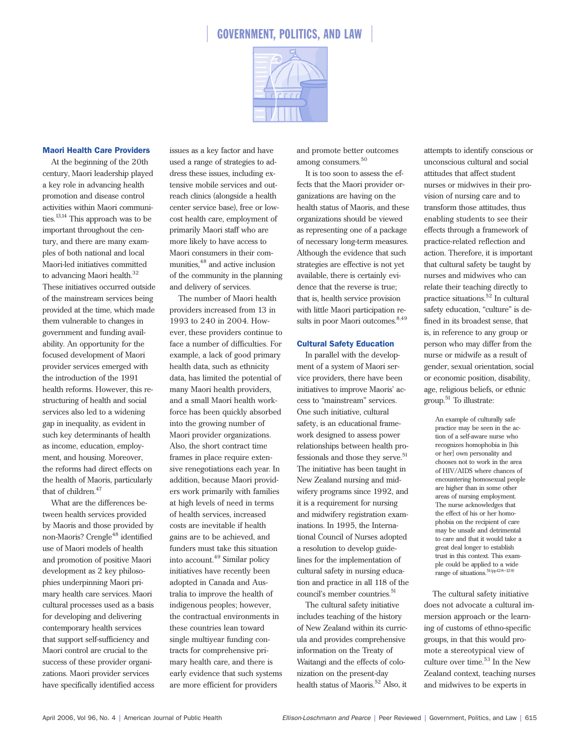

## Maori Health Care Providers

At the beginning of the 20th century, Maori leadership played a key role in advancing health promotion and disease control activities within Maori communities.<sup>13,14</sup> This approach was to be important throughout the century, and there are many examples of both national and local Maori-led initiatives committed to advancing Maori health.<sup>32</sup>

These initiatives occurred outside of the mainstream services being provided at the time, which made them vulnerable to changes in government and funding availability. An opportunity for the focused development of Maori provider services emerged with the introduction of the 1991 health reforms. However, this restructuring of health and social services also led to a widening gap in inequality, as evident in such key determinants of health as income, education, employment, and housing. Moreover, the reforms had direct effects on the health of Maoris, particularly that of children.<sup>47</sup>

What are the differences between health services provided by Maoris and those provided by non-Maoris? Crengle<sup>48</sup> identified use of Maori models of health and promotion of positive Maori development as 2 key philosophies underpinning Maori primary health care services. Maori cultural processes used as a basis for developing and delivering contemporary health services that support self-sufficiency and Maori control are crucial to the success of these provider organizations. Maori provider services have specifically identified access issues as a key factor and have used a range of strategies to address these issues, including extensive mobile services and outreach clinics (alongside a health center service base), free or lowcost health care, employment of primarily Maori staff who are more likely to have access to Maori consumers in their communities,  $48$  and active inclusion of the community in the planning and delivery of services.

The number of Maori health providers increased from 13 in 1993 to 240 in 2004. However, these providers continue to face a number of difficulties. For example, a lack of good primary health data, such as ethnicity data, has limited the potential of many Maori health providers, and a small Maori health workforce has been quickly absorbed into the growing number of Maori provider organizations. Also, the short contract time frames in place require extensive renegotiations each year. In addition, because Maori providers work primarily with families at high levels of need in terms of health services, increased costs are inevitable if health gains are to be achieved, and funders must take this situation into account.<sup>49</sup> Similar policy initiatives have recently been adopted in Canada and Australia to improve the health of indigenous peoples; however, the contractual environments in these countries lean toward single multiyear funding contracts for comprehensive primary health care, and there is early evidence that such systems are more efficient for providers

and promote better outcomes among consumers.<sup>50</sup>

It is too soon to assess the effects that the Maori provider organizations are having on the health status of Maoris, and these organizations should be viewed as representing one of a package of necessary long-term measures. Although the evidence that such strategies are effective is not yet available, there is certainly evidence that the reverse is true; that is, health service provision with little Maori participation results in poor Maori outcomes.<sup>8,49</sup>

## Cultural Safety Education

In parallel with the development of a system of Maori service providers, there have been initiatives to improve Maoris' access to "mainstream" services. One such initiative, cultural safety, is an educational framework designed to assess power relationships between health professionals and those they serve.<sup>51</sup> The initiative has been taught in New Zealand nursing and midwifery programs since 1992, and it is a requirement for nursing and midwifery registration examinations. In 1995, the International Council of Nurses adopted a resolution to develop guidelines for the implementation of cultural safety in nursing education and practice in all 118 of the council's member countries.<sup>51</sup>

The cultural safety initiative includes teaching of the history of New Zealand within its curricula and provides comprehensive information on the Treaty of Waitangi and the effects of colonization on the present-day health status of Maoris.<sup>52</sup> Also, it

attempts to identify conscious or unconscious cultural and social attitudes that affect student nurses or midwives in their provision of nursing care and to transform those attitudes, thus enabling students to see their effects through a framework of practice-related reflection and action. Therefore, it is important that cultural safety be taught by nurses and midwives who can relate their teaching directly to practice situations.<sup>52</sup> In cultural safety education, "culture" is defined in its broadest sense, that is, in reference to any group or person who may differ from the nurse or midwife as a result of gender, sexual orientation, social or economic position, disability, age, religious beliefs, or ethnic group.51 To illustrate:

> An example of culturally safe practice may be seen in the action of a self-aware nurse who recognizes homophobia in [his or her] own personality and chooses not to work in the area of HIV/AIDS where chances of encountering homosexual people are higher than in some other areas of nursing employment. The nurse acknowledges that the effect of his or her homophobia on the recipient of care may be unsafe and detrimental to care and that it would take a great deal longer to establish trust in this context. This example could be applied to a wide range of situations.51(pp128–129)

The cultural safety initiative does not advocate a cultural immersion approach or the learning of customs of ethno-specific groups, in that this would promote a stereotypical view of culture over time. $53$  In the New Zealand context, teaching nurses and midwives to be experts in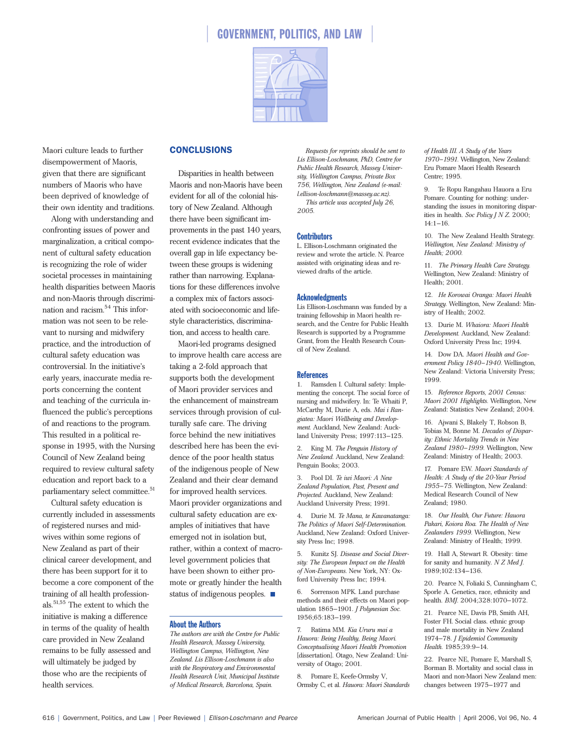

Maori culture leads to further disempowerment of Maoris, given that there are significant numbers of Maoris who have been deprived of knowledge of their own identity and traditions.

Along with understanding and confronting issues of power and marginalization, a critical component of cultural safety education is recognizing the role of wider societal processes in maintaining health disparities between Maoris and non-Maoris through discrimination and racism.54 This information was not seen to be relevant to nursing and midwifery practice, and the introduction of cultural safety education was controversial. In the initiative's early years, inaccurate media reports concerning the content and teaching of the curricula influenced the public's perceptions of and reactions to the program. This resulted in a political response in 1995, with the Nursing Council of New Zealand being required to review cultural safety education and report back to a parliamentary select committee.<sup>51</sup>

Cultural safety education is currently included in assessments of registered nurses and midwives within some regions of New Zealand as part of their clinical career development, and there has been support for it to become a core component of the training of all health professionals.51,55 The extent to which the initiative is making a difference in terms of the quality of health care provided in New Zealand remains to be fully assessed and will ultimately be judged by those who are the recipients of health services.

# CONCLUSIONS

Disparities in health between Maoris and non-Maoris have been evident for all of the colonial history of New Zealand. Although there have been significant improvements in the past 140 years, recent evidence indicates that the overall gap in life expectancy between these groups is widening rather than narrowing. Explanations for these differences involve a complex mix of factors associated with socioeconomic and lifestyle characteristics, discrimination, and access to health care.

Maori-led programs designed to improve health care access are taking a 2-fold approach that supports both the development of Maori provider services and the enhancement of mainstream services through provision of culturally safe care. The driving force behind the new initiatives described here has been the evidence of the poor health status of the indigenous people of New Zealand and their clear demand for improved health services. Maori provider organizations and cultural safety education are examples of initiatives that have emerged not in isolation but, rather, within a context of macrolevel government policies that have been shown to either promote or greatly hinder the health status of indigenous peoples.  $\blacksquare$ 

## About the Authors

*The authors are with the Centre for Public Health Research, Massey University, Wellington Campus, Wellington, New Zealand. Lis Ellison-Loschmann is also with the Respiratory and Environmental Health Research Unit, Municipal Institute of Medical Research, Barcelona, Spain.*

*Requests for reprints should be sent to Lis Ellison-Loschmann, PhD, Centre for Public Health Research, Massey University, Wellington Campus, Private Box 756, Wellington, New Zealand (e-mail: l.ellison-loschmann@massey.ac.nz). This article was accepted July 26, 2005.*

#### **Contributors**

L. Ellison-Loschmann originated the review and wrote the article. N. Pearce assisted with originating ideas and reviewed drafts of the article.

#### **Acknowledgments**

Lis Ellison-Loschmann was funded by a training fellowship in Maori health research, and the Centre for Public Health Research is supported by a Programme Grant, from the Health Research Council of New Zealand.

#### **References**

1. Ramsden I. Cultural safety: Implementing the concept. The social force of nursing and midwifery. In: Te Whaiti P, McCarthy M, Durie A, eds. *Mai i Rangiatea: Maori Wellbeing and Development.* Auckland, New Zealand: Auckland University Press; 1997:113–125.

2. King M. *The Penguin History of New Zealand.* Auckland, New Zealand: Penguin Books; 2003.

3. Pool DI. *Te iwi Maori: A New Zealand Population, Past, Present and Projected.* Auckland, New Zealand: Auckland University Press; 1991.

4. Durie M. *Te Mana, te Kawanatanga: The Politics of Maori Self-Determination.* Auckland, New Zealand: Oxford University Press Inc; 1998.

5. Kunitz SJ. *Disease and Social Diversity: The European Impact on the Health of Non-Europeans.* New York, NY: Oxford University Press Inc; 1994.

6. Sorrenson MPK. Land purchase methods and their effects on Maori population 1865–1901. *J Polynesian Soc.* 1956;65:183–199.

7. Ratima MM. *Kia Ururu mai a Hauora: Being Healthy, Being Maori. Conceptualising Maori Health Promotion* [dissertation]. Otago, New Zealand: University of Otago; 2001.

8. Pomare E, Keefe-Ormsby V, Ormsby C, et al. *Hauora: Maori Standards* *of Health III. A Study of the Years 1970–1991.* Wellington, New Zealand: Eru Pomare Maori Health Research Centre; 1995.

9. Te Ropu Rangahau Hauora a Eru Pomare. Counting for nothing: understanding the issues in monitoring disparities in health. *Soc Policy J N Z.* 2000; 14:1–16.

10. The New Zealand Health Strategy. *Wellington, New Zealand: Ministry of Health; 2000.*

11. *The Primary Health Care Strategy.* Wellington, New Zealand: Ministry of Health; 2001.

12. *He Korowai Oranga: Maori Health Strategy.* Wellington, New Zealand: Ministry of Health; 2002.

13. Durie M. *Whaiora: Maori Health Development.* Auckland, New Zealand: Oxford University Press Inc; 1994.

14. Dow DA. *Maori Health and Government Policy 1840–1940.* Wellington, New Zealand: Victoria University Press; 1999.

15. *Reference Reports, 2001 Census: Maori 2001 Highlights.* Wellington, New Zealand: Statistics New Zealand; 2004.

16. Ajwani S, Blakely T, Robson B, Tobias M, Bonne M. *Decades of Disparity: Ethnic Mortality Trends in New Zealand 1980–1999.* Wellington, New Zealand: Ministry of Health; 2003.

17. Pomare EW. *Maori Standards of Health: A Study of the 20-Year Period 1955–75.* Wellington, New Zealand: Medical Research Council of New Zealand; 1980.

18. *Our Health, Our Future: Hauora Pakari, Koiora Roa. The Health of New Zealanders 1999.* Wellington, New Zealand: Ministry of Health; 1999.

19. Hall A, Stewart R. Obesity: time for sanity and humanity. *N Z Med J.* 1989;102:134–136.

20. Pearce N, Foliaki S, Cunningham C, Sporle A. Genetics, race, ethnicity and health. *BMJ.* 2004;328:1070–1072.

21. Pearce NE, Davis PB, Smith AH, Foster FH. Social class. ethnic group and male mortality in New Zealand 1974–78. *J Epidemiol Community Health.* 1985;39:9–14.

22. Pearce NE, Pomare E, Marshall S, Borman B. Mortality and social class in Maori and non-Maori New Zealand men: changes between 1975–1977 and